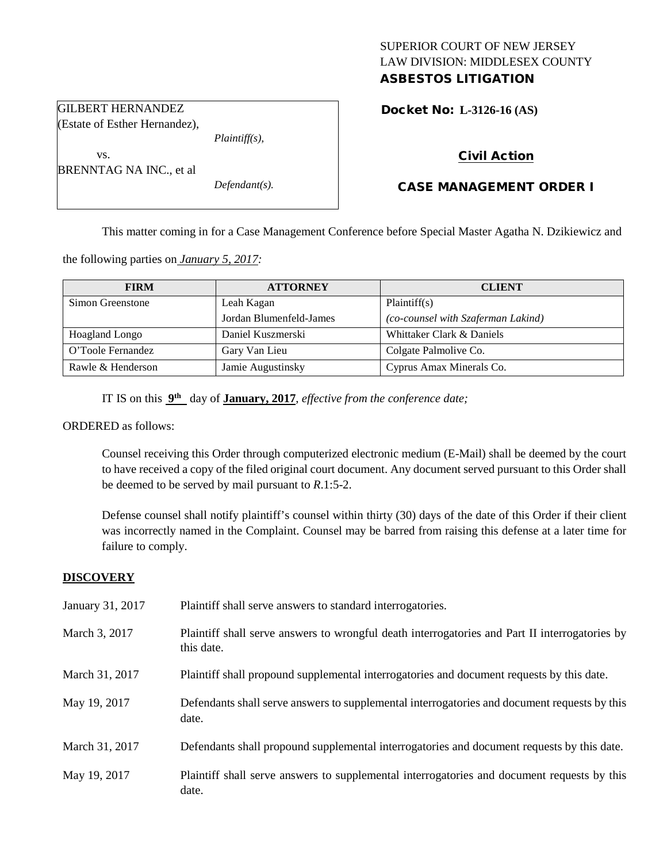# SUPERIOR COURT OF NEW JERSEY LAW DIVISION: MIDDLESEX COUNTY ASBESTOS LITIGATION

Docket No: **L-3126-16 (AS)** 

(Estate of Esther Hernandez),

GILBERT HERNANDEZ

BRENNTAG NA INC., et al

vs.

*Plaintiff(s),*

*Defendant(s).*

# Civil Action

# CASE MANAGEMENT ORDER I

This matter coming in for a Case Management Conference before Special Master Agatha N. Dzikiewicz and

the following parties on *January 5, 2017:*

| <b>FIRM</b>       | <b>ATTORNEY</b>         | <b>CLIENT</b>                      |
|-------------------|-------------------------|------------------------------------|
| Simon Greenstone  | Leah Kagan              | Plaintiff(s)                       |
|                   | Jordan Blumenfeld-James | (co-counsel with Szaferman Lakind) |
| Hoagland Longo    | Daniel Kuszmerski       | Whittaker Clark & Daniels          |
| O'Toole Fernandez | Gary Van Lieu           | Colgate Palmolive Co.              |
| Rawle & Henderson | Jamie Augustinsky       | Cyprus Amax Minerals Co.           |

IT IS on this **9th** day of **January, 2017**, *effective from the conference date;*

#### ORDERED as follows:

Counsel receiving this Order through computerized electronic medium (E-Mail) shall be deemed by the court to have received a copy of the filed original court document. Any document served pursuant to this Order shall be deemed to be served by mail pursuant to *R*.1:5-2.

Defense counsel shall notify plaintiff's counsel within thirty (30) days of the date of this Order if their client was incorrectly named in the Complaint. Counsel may be barred from raising this defense at a later time for failure to comply.

#### **DISCOVERY**

| January 31, 2017 | Plaintiff shall serve answers to standard interrogatories.                                                   |
|------------------|--------------------------------------------------------------------------------------------------------------|
| March 3, 2017    | Plaintiff shall serve answers to wrongful death interrogatories and Part II interrogatories by<br>this date. |
| March 31, 2017   | Plaintiff shall propound supplemental interrogatories and document requests by this date.                    |
| May 19, 2017     | Defendants shall serve answers to supplemental interrogatories and document requests by this<br>date.        |
| March 31, 2017   | Defendants shall propound supplemental interrogatories and document requests by this date.                   |
| May 19, 2017     | Plaintiff shall serve answers to supplemental interrogatories and document requests by this<br>date.         |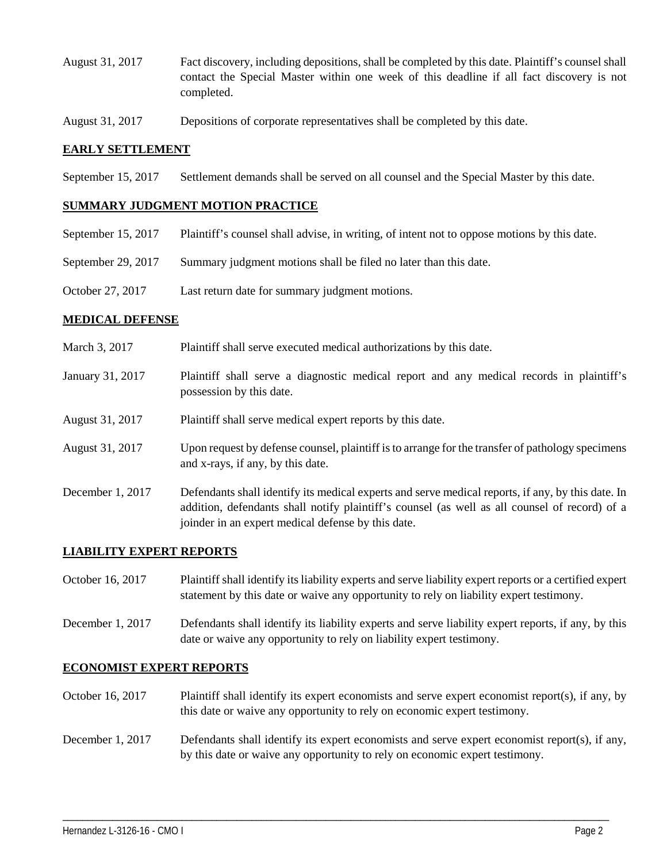- August 31, 2017 Fact discovery, including depositions, shall be completed by this date. Plaintiff's counsel shall contact the Special Master within one week of this deadline if all fact discovery is not completed.
- August 31, 2017 Depositions of corporate representatives shall be completed by this date.

## **EARLY SETTLEMENT**

September 15, 2017 Settlement demands shall be served on all counsel and the Special Master by this date.

#### **SUMMARY JUDGMENT MOTION PRACTICE**

- September 15, 2017 Plaintiff's counsel shall advise, in writing, of intent not to oppose motions by this date.
- September 29, 2017 Summary judgment motions shall be filed no later than this date.
- October 27, 2017 Last return date for summary judgment motions.

## **MEDICAL DEFENSE**

- March 3, 2017 Plaintiff shall serve executed medical authorizations by this date.
- January 31, 2017 Plaintiff shall serve a diagnostic medical report and any medical records in plaintiff's possession by this date.
- August 31, 2017 Plaintiff shall serve medical expert reports by this date.
- August 31, 2017 Upon request by defense counsel, plaintiff is to arrange for the transfer of pathology specimens and x-rays, if any, by this date.
- December 1, 2017 Defendants shall identify its medical experts and serve medical reports, if any, by this date. In addition, defendants shall notify plaintiff's counsel (as well as all counsel of record) of a joinder in an expert medical defense by this date.

# **LIABILITY EXPERT REPORTS**

- October 16, 2017 Plaintiff shall identify its liability experts and serve liability expert reports or a certified expert statement by this date or waive any opportunity to rely on liability expert testimony.
- December 1, 2017 Defendants shall identify its liability experts and serve liability expert reports, if any, by this date or waive any opportunity to rely on liability expert testimony.

# **ECONOMIST EXPERT REPORTS**

- October 16, 2017 Plaintiff shall identify its expert economists and serve expert economist report(s), if any, by this date or waive any opportunity to rely on economic expert testimony.
- December 1, 2017 Defendants shall identify its expert economists and serve expert economist report(s), if any, by this date or waive any opportunity to rely on economic expert testimony.

\_\_\_\_\_\_\_\_\_\_\_\_\_\_\_\_\_\_\_\_\_\_\_\_\_\_\_\_\_\_\_\_\_\_\_\_\_\_\_\_\_\_\_\_\_\_\_\_\_\_\_\_\_\_\_\_\_\_\_\_\_\_\_\_\_\_\_\_\_\_\_\_\_\_\_\_\_\_\_\_\_\_\_\_\_\_\_\_\_\_\_\_\_\_\_\_\_\_\_\_\_\_\_\_\_\_\_\_\_\_